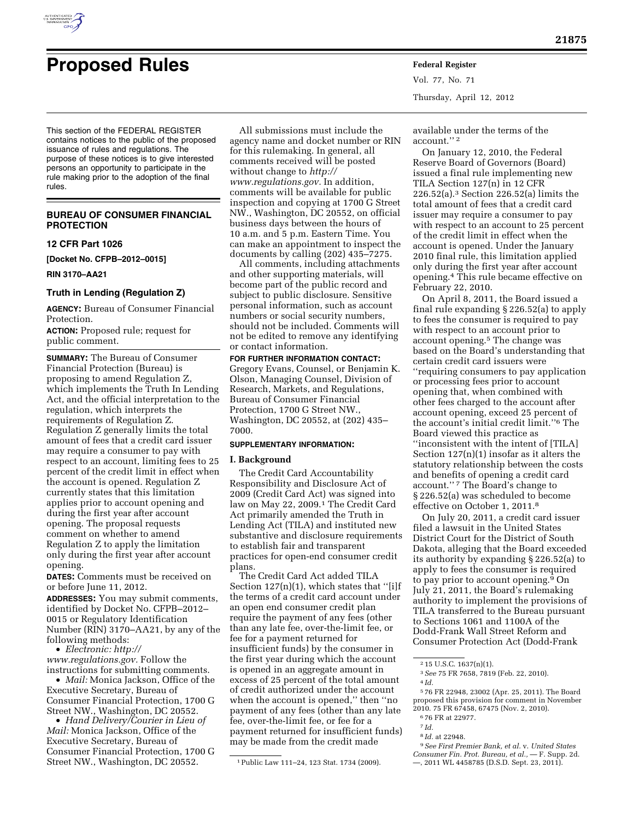

# **Proposed Rules Federal Register**

Vol. 77, No. 71 Thursday, April 12, 2012

This section of the FEDERAL REGISTER contains notices to the public of the proposed issuance of rules and regulations. The purpose of these notices is to give interested persons an opportunity to participate in the rule making prior to the adoption of the final rules.

# **BUREAU OF CONSUMER FINANCIAL PROTECTION**

#### **12 CFR Part 1026**

**[Docket No. CFPB–2012–0015]** 

#### **RIN 3170–AA21**

## **Truth in Lending (Regulation Z)**

**AGENCY:** Bureau of Consumer Financial Protection.

**ACTION:** Proposed rule; request for public comment.

**SUMMARY:** The Bureau of Consumer Financial Protection (Bureau) is proposing to amend Regulation Z, which implements the Truth In Lending Act, and the official interpretation to the regulation, which interprets the requirements of Regulation Z. Regulation Z generally limits the total amount of fees that a credit card issuer may require a consumer to pay with respect to an account, limiting fees to 25 percent of the credit limit in effect when the account is opened. Regulation Z currently states that this limitation applies prior to account opening and during the first year after account opening. The proposal requests comment on whether to amend Regulation Z to apply the limitation only during the first year after account opening.

**DATES:** Comments must be received on or before June 11, 2012.

**ADDRESSES:** You may submit comments, identified by Docket No. CFPB–2012– 0015 or Regulatory Identification Number (RIN) 3170–AA21, by any of the following methods:

• *Electronic: [http://](http://www.regulations.gov)* 

*[www.regulations.gov.](http://www.regulations.gov)* Follow the instructions for submitting comments.

• *Mail:* Monica Jackson, Office of the Executive Secretary, Bureau of Consumer Financial Protection, 1700 G Street NW., Washington, DC 20552.

• *Hand Delivery/Courier in Lieu of Mail:* Monica Jackson, Office of the Executive Secretary, Bureau of Consumer Financial Protection, 1700 G Street NW., Washington, DC 20552.

All submissions must include the agency name and docket number or RIN for this rulemaking. In general, all comments received will be posted without change to *[http://](http://www.regulations.gov) [www.regulations.gov.](http://www.regulations.gov)* In addition, comments will be available for public inspection and copying at 1700 G Street NW., Washington, DC 20552, on official business days between the hours of 10 a.m. and 5 p.m. Eastern Time. You can make an appointment to inspect the documents by calling (202) 435–7275.

All comments, including attachments and other supporting materials, will become part of the public record and subject to public disclosure. Sensitive personal information, such as account numbers or social security numbers, should not be included. Comments will not be edited to remove any identifying or contact information.

## **FOR FURTHER INFORMATION CONTACT:**

Gregory Evans, Counsel, or Benjamin K. Olson, Managing Counsel, Division of Research, Markets, and Regulations, Bureau of Consumer Financial Protection, 1700 G Street NW., Washington, DC 20552, at (202) 435– 7000.

## **SUPPLEMENTARY INFORMATION:**

#### **I. Background**

The Credit Card Accountability Responsibility and Disclosure Act of 2009 (Credit Card Act) was signed into law on May 22, 2009.1 The Credit Card Act primarily amended the Truth in Lending Act (TILA) and instituted new substantive and disclosure requirements to establish fair and transparent practices for open-end consumer credit plans.

The Credit Card Act added TILA Section 127(n)(1), which states that "[i]f the terms of a credit card account under an open end consumer credit plan require the payment of any fees (other than any late fee, over-the-limit fee, or fee for a payment returned for insufficient funds) by the consumer in the first year during which the account is opened in an aggregate amount in excess of 25 percent of the total amount of credit authorized under the account when the account is opened,'' then ''no payment of any fees (other than any late fee, over-the-limit fee, or fee for a payment returned for insufficient funds) may be made from the credit made

available under the terms of the account.'' 2

On January 12, 2010, the Federal Reserve Board of Governors (Board) issued a final rule implementing new TILA Section 127(n) in 12 CFR 226.52(a).3 Section 226.52(a) limits the total amount of fees that a credit card issuer may require a consumer to pay with respect to an account to 25 percent of the credit limit in effect when the account is opened. Under the January 2010 final rule, this limitation applied only during the first year after account opening.4 This rule became effective on February 22, 2010.

On April 8, 2011, the Board issued a final rule expanding § 226.52(a) to apply to fees the consumer is required to pay with respect to an account prior to account opening.5 The change was based on the Board's understanding that certain credit card issuers were ''requiring consumers to pay application or processing fees prior to account opening that, when combined with other fees charged to the account after account opening, exceed 25 percent of the account's initial credit limit.''6 The Board viewed this practice as ''inconsistent with the intent of [TILA] Section 127(n)(1) insofar as it alters the statutory relationship between the costs and benefits of opening a credit card account."<sup>7</sup> The Board's change to § 226.52(a) was scheduled to become effective on October 1, 2011.8

On July 20, 2011, a credit card issuer filed a lawsuit in the United States District Court for the District of South Dakota, alleging that the Board exceeded its authority by expanding § 226.52(a) to apply to fees the consumer is required to pay prior to account opening.<sup>9</sup> On July 21, 2011, the Board's rulemaking authority to implement the provisions of TILA transferred to the Bureau pursuant to Sections 1061 and 1100A of the Dodd-Frank Wall Street Reform and Consumer Protection Act (Dodd-Frank

5 76 FR 22948, 23002 (Apr. 25, 2011). The Board proposed this provision for comment in November 2010. 75 FR 67458, 67475 (Nov. 2, 2010).

- 
- 8 *Id.* at 22948.

<sup>1</sup>Public Law 111–24, 123 Stat. 1734 (2009).

<sup>2</sup> 15 U.S.C. 1637(n)(1).

<sup>3</sup>*See* 75 FR 7658, 7819 (Feb. 22, 2010).

<sup>4</sup> *Id.* 

<sup>6</sup> 76 FR at 22977. 7 *Id.* 

<sup>9</sup>*See First Premier Bank, et al.* v. *United States Consumer Fin. Prot. Bureau, et al.,* — F. Supp. 2d. —, 2011 WL 4458785 (D.S.D. Sept. 23, 2011).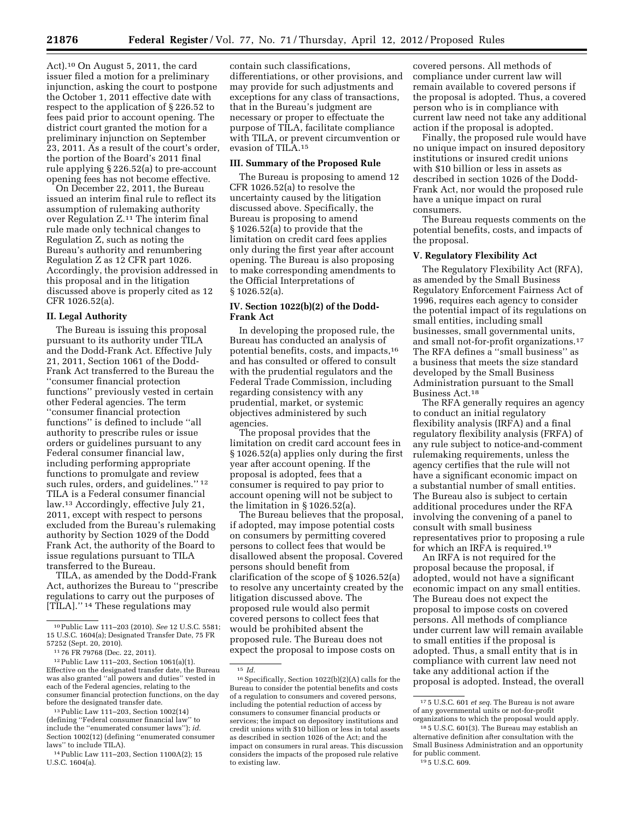Act).10 On August 5, 2011, the card issuer filed a motion for a preliminary injunction, asking the court to postpone the October 1, 2011 effective date with respect to the application of § 226.52 to fees paid prior to account opening. The district court granted the motion for a preliminary injunction on September 23, 2011. As a result of the court's order, the portion of the Board's 2011 final rule applying § 226.52(a) to pre-account opening fees has not become effective.

On December 22, 2011, the Bureau issued an interim final rule to reflect its assumption of rulemaking authority over Regulation Z.11 The interim final rule made only technical changes to Regulation Z, such as noting the Bureau's authority and renumbering Regulation Z as 12 CFR part 1026. Accordingly, the provision addressed in this proposal and in the litigation discussed above is properly cited as 12 CFR 1026.52(a).

# **II. Legal Authority**

The Bureau is issuing this proposal pursuant to its authority under TILA and the Dodd-Frank Act. Effective July 21, 2011, Section 1061 of the Dodd-Frank Act transferred to the Bureau the ''consumer financial protection functions'' previously vested in certain other Federal agencies. The term ''consumer financial protection functions'' is defined to include ''all authority to prescribe rules or issue orders or guidelines pursuant to any Federal consumer financial law, including performing appropriate functions to promulgate and review such rules, orders, and guidelines."<sup>12</sup> TILA is a Federal consumer financial law.13 Accordingly, effective July 21, 2011, except with respect to persons excluded from the Bureau's rulemaking authority by Section 1029 of the Dodd Frank Act, the authority of the Board to issue regulations pursuant to TILA transferred to the Bureau.

TILA, as amended by the Dodd-Frank Act, authorizes the Bureau to ''prescribe regulations to carry out the purposes of [TILA]."<sup>14</sup> These regulations may

contain such classifications, differentiations, or other provisions, and may provide for such adjustments and exceptions for any class of transactions, that in the Bureau's judgment are necessary or proper to effectuate the purpose of TILA, facilitate compliance with TILA, or prevent circumvention or evasion of TILA.15

## **III. Summary of the Proposed Rule**

The Bureau is proposing to amend 12 CFR 1026.52(a) to resolve the uncertainty caused by the litigation discussed above. Specifically, the Bureau is proposing to amend § 1026.52(a) to provide that the limitation on credit card fees applies only during the first year after account opening. The Bureau is also proposing to make corresponding amendments to the Official Interpretations of § 1026.52(a).

## **IV. Section 1022(b)(2) of the Dodd-Frank Act**

In developing the proposed rule, the Bureau has conducted an analysis of potential benefits, costs, and impacts,16 and has consulted or offered to consult with the prudential regulators and the Federal Trade Commission, including regarding consistency with any prudential, market, or systemic objectives administered by such agencies.

The proposal provides that the limitation on credit card account fees in § 1026.52(a) applies only during the first year after account opening. If the proposal is adopted, fees that a consumer is required to pay prior to account opening will not be subject to the limitation in § 1026.52(a).

The Bureau believes that the proposal, if adopted, may impose potential costs on consumers by permitting covered persons to collect fees that would be disallowed absent the proposal. Covered persons should benefit from clarification of the scope of § 1026.52(a) to resolve any uncertainty created by the litigation discussed above. The proposed rule would also permit covered persons to collect fees that would be prohibited absent the proposed rule. The Bureau does not expect the proposal to impose costs on

15 *Id.* 

covered persons. All methods of compliance under current law will remain available to covered persons if the proposal is adopted. Thus, a covered person who is in compliance with current law need not take any additional action if the proposal is adopted.

Finally, the proposed rule would have no unique impact on insured depository institutions or insured credit unions with \$10 billion or less in assets as described in section 1026 of the Dodd-Frank Act, nor would the proposed rule have a unique impact on rural consumers.

The Bureau requests comments on the potential benefits, costs, and impacts of the proposal.

# **V. Regulatory Flexibility Act**

The Regulatory Flexibility Act (RFA), as amended by the Small Business Regulatory Enforcement Fairness Act of 1996, requires each agency to consider the potential impact of its regulations on small entities, including small businesses, small governmental units, and small not-for-profit organizations.17 The RFA defines a ''small business'' as a business that meets the size standard developed by the Small Business Administration pursuant to the Small Business Act.18

The RFA generally requires an agency to conduct an initial regulatory flexibility analysis (IRFA) and a final regulatory flexibility analysis (FRFA) of any rule subject to notice-and-comment rulemaking requirements, unless the agency certifies that the rule will not have a significant economic impact on a substantial number of small entities. The Bureau also is subject to certain additional procedures under the RFA involving the convening of a panel to consult with small business representatives prior to proposing a rule for which an IRFA is required.19

An IRFA is not required for the proposal because the proposal, if adopted, would not have a significant economic impact on any small entities. The Bureau does not expect the proposal to impose costs on covered persons. All methods of compliance under current law will remain available to small entities if the proposal is adopted. Thus, a small entity that is in compliance with current law need not take any additional action if the proposal is adopted. Instead, the overall

<sup>10</sup>Public Law 111–203 (2010). *See* 12 U.S.C. 5581; 15 U.S.C. 1604(a); Designated Transfer Date, 75 FR 57252 (Sept. 20, 2010).

<sup>11</sup> 76 FR 79768 (Dec. 22, 2011).

<sup>12</sup>Public Law 111–203, Section 1061(a)(1). Effective on the designated transfer date, the Bureau was also granted ''all powers and duties'' vested in each of the Federal agencies, relating to the consumer financial protection functions, on the day before the designated transfer date.

<sup>13</sup>Public Law 111–203, Section 1002(14) (defining ''Federal consumer financial law'' to include the ''enumerated consumer laws''); *id.*  Section 1002(12) (defining ''enumerated consumer laws'' to include TILA).

<sup>14</sup>Public Law 111–203, Section 1100A(2); 15 U.S.C. 1604(a).

<sup>16</sup>Specifically, Section 1022(b)(2)(A) calls for the Bureau to consider the potential benefits and costs of a regulation to consumers and covered persons, including the potential reduction of access by consumers to consumer financial products or services; the impact on depository institutions and credit unions with \$10 billion or less in total assets as described in section 1026 of the Act; and the impact on consumers in rural areas. This discussion considers the impacts of the proposed rule relative to existing law.

<sup>17</sup> 5 U.S.C. 601 *et seq.* The Bureau is not aware of any governmental units or not-for-profit organizations to which the proposal would apply.

<sup>18</sup> 5 U.S.C. 601(3). The Bureau may establish an alternative definition after consultation with the Small Business Administration and an opportunity for public comment. 19 5 U.S.C. 609.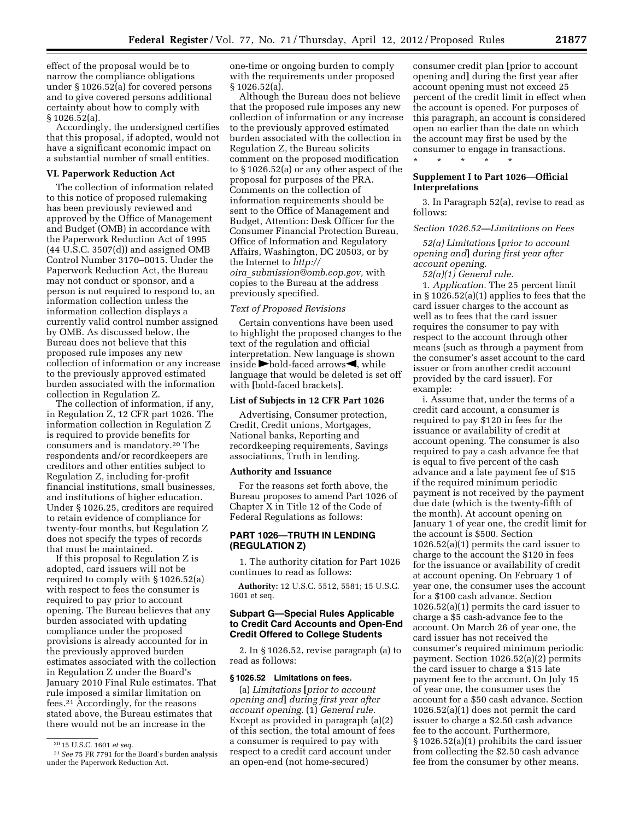effect of the proposal would be to narrow the compliance obligations under § 1026.52(a) for covered persons and to give covered persons additional certainty about how to comply with § 1026.52(a).

Accordingly, the undersigned certifies that this proposal, if adopted, would not have a significant economic impact on a substantial number of small entities.

## **VI. Paperwork Reduction Act**

The collection of information related to this notice of proposed rulemaking has been previously reviewed and approved by the Office of Management and Budget (OMB) in accordance with the Paperwork Reduction Act of 1995 (44 U.S.C. 3507(d)) and assigned OMB Control Number 3170–0015. Under the Paperwork Reduction Act, the Bureau may not conduct or sponsor, and a person is not required to respond to, an information collection unless the information collection displays a currently valid control number assigned by OMB. As discussed below, the Bureau does not believe that this proposed rule imposes any new collection of information or any increase to the previously approved estimated burden associated with the information collection in Regulation Z.

The collection of information, if any, in Regulation Z, 12 CFR part 1026. The information collection in Regulation Z is required to provide benefits for consumers and is mandatory.20 The respondents and/or recordkeepers are creditors and other entities subject to Regulation Z, including for-profit financial institutions, small businesses, and institutions of higher education. Under § 1026.25, creditors are required to retain evidence of compliance for twenty-four months, but Regulation Z does not specify the types of records that must be maintained.

If this proposal to Regulation Z is adopted, card issuers will not be required to comply with § 1026.52(a) with respect to fees the consumer is required to pay prior to account opening. The Bureau believes that any burden associated with updating compliance under the proposed provisions is already accounted for in the previously approved burden estimates associated with the collection in Regulation Z under the Board's January 2010 Final Rule estimates. That rule imposed a similar limitation on fees.21 Accordingly, for the reasons stated above, the Bureau estimates that there would not be an increase in the

one-time or ongoing burden to comply with the requirements under proposed § 1026.52(a).

Although the Bureau does not believe that the proposed rule imposes any new collection of information or any increase to the previously approved estimated burden associated with the collection in Regulation Z, the Bureau solicits comment on the proposed modification to § 1026.52(a) or any other aspect of the proposal for purposes of the PRA. Comments on the collection of information requirements should be sent to the Office of Management and Budget, Attention: Desk Officer for the Consumer Financial Protection Bureau, Office of Information and Regulatory Affairs, Washington, DC 20503, or by the Internet to *[http://](mailto:oira_submission@omb.eop.gov)  oira*\_*[submission@omb.eop.gov,](mailto:oira_submission@omb.eop.gov)* with copies to the Bureau at the address previously specified.

#### *Text of Proposed Revisions*

Certain conventions have been used to highlight the proposed changes to the text of the regulation and official interpretation. New language is shown inside  $\blacktriangleright$  bold-faced arrows $\blacktriangleleft$ , while language that would be deleted is set off with **[**bold-faced brackets**]**.

#### **List of Subjects in 12 CFR Part 1026**

Advertising, Consumer protection, Credit, Credit unions, Mortgages, National banks, Reporting and recordkeeping requirements, Savings associations, Truth in lending.

#### **Authority and Issuance**

For the reasons set forth above, the Bureau proposes to amend Part 1026 of Chapter X in Title 12 of the Code of Federal Regulations as follows:

## **PART 1026—TRUTH IN LENDING (REGULATION Z)**

1. The authority citation for Part 1026 continues to read as follows:

**Authority:** 12 U.S.C. 5512, 5581; 15 U.S.C. 1601 et seq.

## **Subpart G—Special Rules Applicable to Credit Card Accounts and Open-End Credit Offered to College Students**

2. In § 1026.52, revise paragraph (a) to read as follows:

## **§ 1026.52 Limitations on fees.**

(a) *Limitations* **[***prior to account opening and***]** *during first year after account opening.* (1) *General rule.*  Except as provided in paragraph (a)(2) of this section, the total amount of fees a consumer is required to pay with respect to a credit card account under an open-end (not home-secured)

consumer credit plan **[**prior to account opening and**]** during the first year after account opening must not exceed 25 percent of the credit limit in effect when the account is opened. For purposes of this paragraph, an account is considered open no earlier than the date on which the account may first be used by the consumer to engage in transactions.<br>\* \* \* \* \* \* \*

## **Supplement I to Part 1026—Official Interpretations**

3. In Paragraph 52(a), revise to read as follows:

## *Section 1026.52—Limitations on Fees*

*52(a) Limitations* **[***prior to account opening and***]** *during first year after account opening.* 

*52(a)(1) General rule.* 

\* \* \* \* \*

1. *Application.* The 25 percent limit in § 1026.52(a)(1) applies to fees that the card issuer charges to the account as well as to fees that the card issuer requires the consumer to pay with respect to the account through other means (such as through a payment from the consumer's asset account to the card issuer or from another credit account provided by the card issuer). For example:

i. Assume that, under the terms of a credit card account, a consumer is required to pay \$120 in fees for the issuance or availability of credit at account opening. The consumer is also required to pay a cash advance fee that is equal to five percent of the cash advance and a late payment fee of \$15 if the required minimum periodic payment is not received by the payment due date (which is the twenty-fifth of the month). At account opening on January 1 of year one, the credit limit for the account is \$500. Section 1026.52(a)(1) permits the card issuer to charge to the account the \$120 in fees for the issuance or availability of credit at account opening. On February 1 of year one, the consumer uses the account for a \$100 cash advance. Section 1026.52(a)(1) permits the card issuer to charge a \$5 cash-advance fee to the account. On March 26 of year one, the card issuer has not received the consumer's required minimum periodic payment. Section 1026.52(a)(2) permits the card issuer to charge a \$15 late payment fee to the account. On July 15 of year one, the consumer uses the account for a \$50 cash advance. Section 1026.52(a)(1) does not permit the card issuer to charge a \$2.50 cash advance fee to the account. Furthermore, § 1026.52(a)(1) prohibits the card issuer from collecting the \$2.50 cash advance fee from the consumer by other means.

<sup>20</sup> 15 U.S.C. 1601 *et seq.* 

<sup>21</sup>*See* 75 FR 7791 for the Board's burden analysis under the Paperwork Reduction Act.